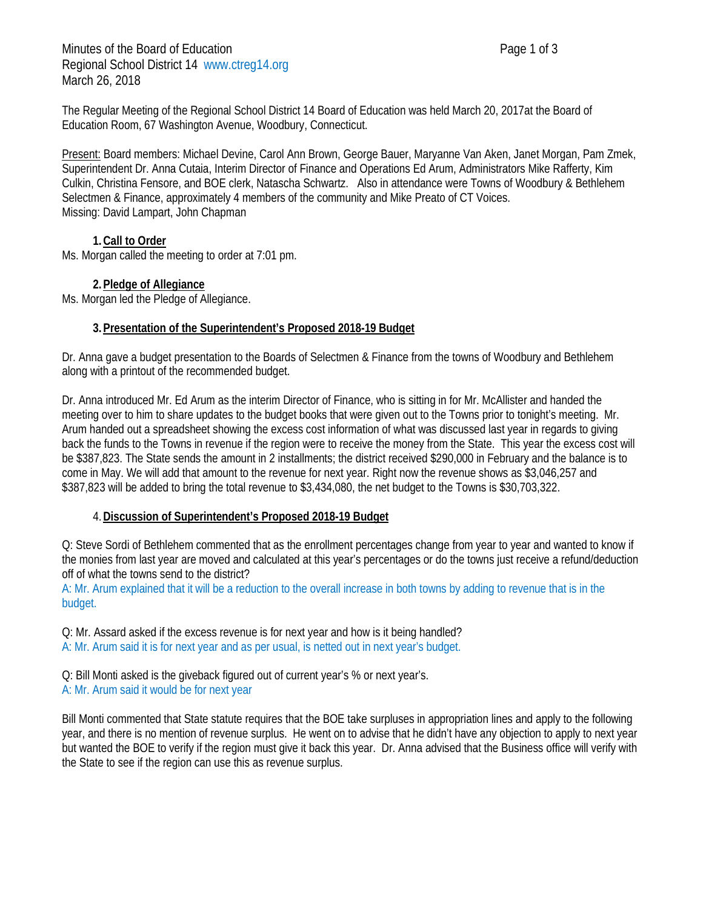The Regular Meeting of the Regional School District 14 Board of Education was held March 20, 2017at the Board of Education Room, 67 Washington Avenue, Woodbury, Connecticut.

Present: Board members: Michael Devine, Carol Ann Brown, George Bauer, Maryanne Van Aken, Janet Morgan, Pam Zmek, Superintendent Dr. Anna Cutaia, Interim Director of Finance and Operations Ed Arum, Administrators Mike Rafferty, Kim Culkin, Christina Fensore, and BOE clerk, Natascha Schwartz. Also in attendance were Towns of Woodbury & Bethlehem Selectmen & Finance, approximately 4 members of the community and Mike Preato of CT Voices. Missing: David Lampart, John Chapman

# **1.Call to Order**

Ms. Morgan called the meeting to order at 7:01 pm.

## **2.Pledge of Allegiance**

Ms. Morgan led the Pledge of Allegiance.

## **3.Presentation of the Superintendent's Proposed 2018-19 Budget**

Dr. Anna gave a budget presentation to the Boards of Selectmen & Finance from the towns of Woodbury and Bethlehem along with a printout of the recommended budget.

Dr. Anna introduced Mr. Ed Arum as the interim Director of Finance, who is sitting in for Mr. McAllister and handed the meeting over to him to share updates to the budget books that were given out to the Towns prior to tonight's meeting. Mr. Arum handed out a spreadsheet showing the excess cost information of what was discussed last year in regards to giving back the funds to the Towns in revenue if the region were to receive the money from the State. This year the excess cost will be \$387,823. The State sends the amount in 2 installments; the district received \$290,000 in February and the balance is to come in May. We will add that amount to the revenue for next year. Right now the revenue shows as \$3,046,257 and \$387,823 will be added to bring the total revenue to \$3,434,080, the net budget to the Towns is \$30,703,322.

## 4.**Discussion of Superintendent's Proposed 2018-19 Budget**

Q: Steve Sordi of Bethlehem commented that as the enrollment percentages change from year to year and wanted to know if the monies from last year are moved and calculated at this year's percentages or do the towns just receive a refund/deduction off of what the towns send to the district?

A: Mr. Arum explained that it will be a reduction to the overall increase in both towns by adding to revenue that is in the budget.

Q: Mr. Assard asked if the excess revenue is for next year and how is it being handled? A: Mr. Arum said it is for next year and as per usual, is netted out in next year's budget.

Q: Bill Monti asked is the giveback figured out of current year's % or next year's. A: Mr. Arum said it would be for next year

Bill Monti commented that State statute requires that the BOE take surpluses in appropriation lines and apply to the following year, and there is no mention of revenue surplus. He went on to advise that he didn't have any objection to apply to next year but wanted the BOE to verify if the region must give it back this year. Dr. Anna advised that the Business office will verify with the State to see if the region can use this as revenue surplus.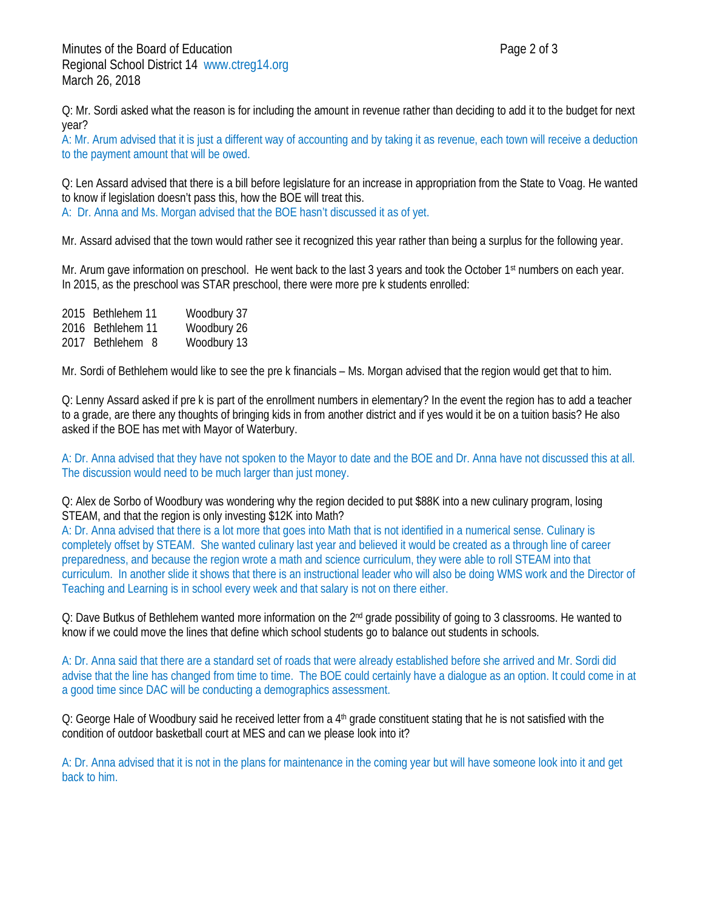Q: Mr. Sordi asked what the reason is for including the amount in revenue rather than deciding to add it to the budget for next year?

A: Mr. Arum advised that it is just a different way of accounting and by taking it as revenue, each town will receive a deduction to the payment amount that will be owed.

Q: Len Assard advised that there is a bill before legislature for an increase in appropriation from the State to Voag. He wanted to know if legislation doesn't pass this, how the BOE will treat this. A: Dr. Anna and Ms. Morgan advised that the BOE hasn't discussed it as of yet.

Mr. Assard advised that the town would rather see it recognized this year rather than being a surplus for the following year.

Mr. Arum gave information on preschool. He went back to the last 3 years and took the October 1<sup>st</sup> numbers on each year. In 2015, as the preschool was STAR preschool, there were more pre k students enrolled:

2015 Bethlehem 11 Woodbury 37 2016 Bethlehem 11 Woodbury 26 2017 Bethlehem 8 Woodbury 13

Mr. Sordi of Bethlehem would like to see the pre k financials – Ms. Morgan advised that the region would get that to him.

Q: Lenny Assard asked if pre k is part of the enrollment numbers in elementary? In the event the region has to add a teacher to a grade, are there any thoughts of bringing kids in from another district and if yes would it be on a tuition basis? He also asked if the BOE has met with Mayor of Waterbury.

A: Dr. Anna advised that they have not spoken to the Mayor to date and the BOE and Dr. Anna have not discussed this at all. The discussion would need to be much larger than just money.

Q: Alex de Sorbo of Woodbury was wondering why the region decided to put \$88K into a new culinary program, losing STEAM, and that the region is only investing \$12K into Math?

A: Dr. Anna advised that there is a lot more that goes into Math that is not identified in a numerical sense. Culinary is completely offset by STEAM. She wanted culinary last year and believed it would be created as a through line of career preparedness, and because the region wrote a math and science curriculum, they were able to roll STEAM into that curriculum. In another slide it shows that there is an instructional leader who will also be doing WMS work and the Director of Teaching and Learning is in school every week and that salary is not on there either.

Q: Dave Butkus of Bethlehem wanted more information on the 2<sup>nd</sup> grade possibility of going to 3 classrooms. He wanted to know if we could move the lines that define which school students go to balance out students in schools.

A: Dr. Anna said that there are a standard set of roads that were already established before she arrived and Mr. Sordi did advise that the line has changed from time to time. The BOE could certainly have a dialogue as an option. It could come in at a good time since DAC will be conducting a demographics assessment.

Q: George Hale of Woodbury said he received letter from a 4<sup>th</sup> grade constituent stating that he is not satisfied with the condition of outdoor basketball court at MES and can we please look into it?

A: Dr. Anna advised that it is not in the plans for maintenance in the coming year but will have someone look into it and get back to him.